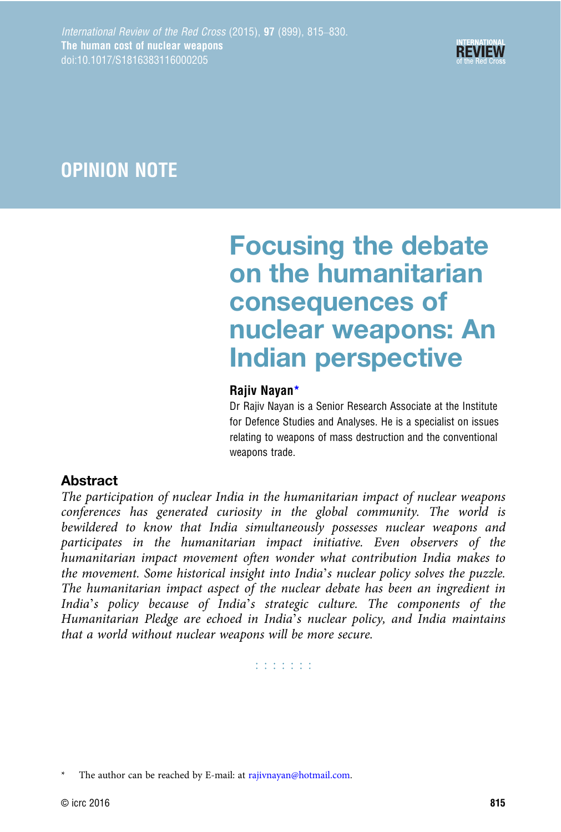

# OPINION NOTE

# Focusing the debate on the humanitarian consequences of nuclear weapons: An Indian perspective

#### Rajiv Nayan\*

Dr Rajiv Nayan is a Senior Research Associate at the Institute for Defence Studies and Analyses. He is a specialist on issues relating to weapons of mass destruction and the conventional weapons trade.

### Abstract

The participation of nuclear India in the humanitarian impact of nuclear weapons conferences has generated curiosity in the global community. The world is bewildered to know that India simultaneously possesses nuclear weapons and participates in the humanitarian impact initiative. Even observers of the humanitarian impact movement often wonder what contribution India makes to the movement. Some historical insight into India's nuclear policy solves the puzzle. The humanitarian impact aspect of the nuclear debate has been an ingredient in India's policy because of India's strategic culture. The components of the Humanitarian Pledge are echoed in India's nuclear policy, and India maintains that a world without nuclear weapons will be more secure.

**TERRITE** 

The author can be reached by E-mail: at rajivnayan@hotmail.com.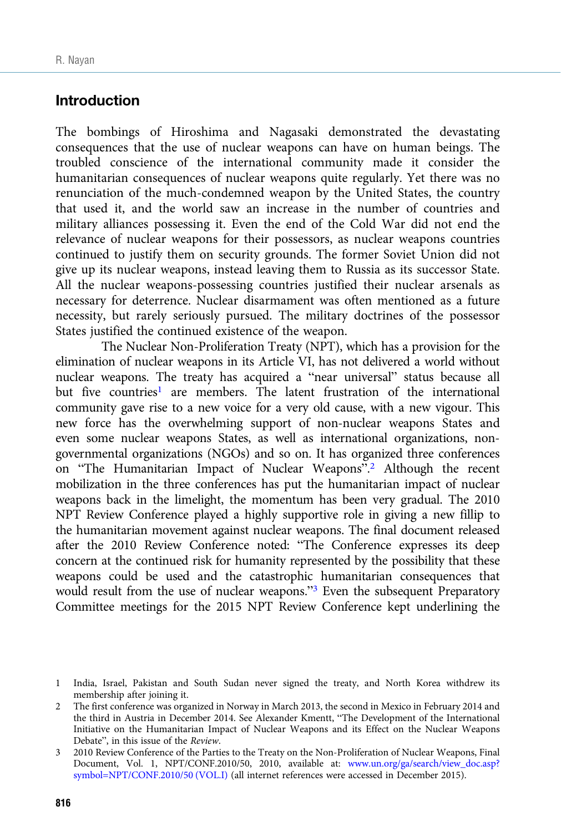#### Introduction

The bombings of Hiroshima and Nagasaki demonstrated the devastating consequences that the use of nuclear weapons can have on human beings. The troubled conscience of the international community made it consider the humanitarian consequences of nuclear weapons quite regularly. Yet there was no renunciation of the much-condemned weapon by the United States, the country that used it, and the world saw an increase in the number of countries and military alliances possessing it. Even the end of the Cold War did not end the relevance of nuclear weapons for their possessors, as nuclear weapons countries continued to justify them on security grounds. The former Soviet Union did not give up its nuclear weapons, instead leaving them to Russia as its successor State. All the nuclear weapons-possessing countries justified their nuclear arsenals as necessary for deterrence. Nuclear disarmament was often mentioned as a future necessity, but rarely seriously pursued. The military doctrines of the possessor States justified the continued existence of the weapon.

The Nuclear Non-Proliferation Treaty (NPT), which has a provision for the elimination of nuclear weapons in its Article VI, has not delivered a world without nuclear weapons. The treaty has acquired a "near universal" status because all but five countries<sup>1</sup> are members. The latent frustration of the international community gave rise to a new voice for a very old cause, with a new vigour. This new force has the overwhelming support of non-nuclear weapons States and even some nuclear weapons States, as well as international organizations, nongovernmental organizations (NGOs) and so on. It has organized three conferences on "The Humanitarian Impact of Nuclear Weapons". <sup>2</sup> Although the recent mobilization in the three conferences has put the humanitarian impact of nuclear weapons back in the limelight, the momentum has been very gradual. The 2010 NPT Review Conference played a highly supportive role in giving a new fillip to the humanitarian movement against nuclear weapons. The final document released after the 2010 Review Conference noted: "The Conference expresses its deep concern at the continued risk for humanity represented by the possibility that these weapons could be used and the catastrophic humanitarian consequences that would result from the use of nuclear weapons."<sup>3</sup> Even the subsequent Preparatory Committee meetings for the 2015 NPT Review Conference kept underlining the

<sup>1</sup> India, Israel, Pakistan and South Sudan never signed the treaty, and North Korea withdrew its membership after joining it.

<sup>2</sup> The first conference was organized in Norway in March 2013, the second in Mexico in February 2014 and the third in Austria in December 2014. See Alexander Kmentt, "The Development of the International Initiative on the Humanitarian Impact of Nuclear Weapons and its Effect on the Nuclear Weapons Debate", in this issue of the Review.

<sup>3 2010</sup> Review Conference of the Parties to the Treaty on the Non-Proliferation of Nuclear Weapons, Final Document, Vol. 1, NPT/CONF.2010/50, 2010, available at: www.un.org/ga/search/view\_doc.asp? symbol=NPT/CONF.2010/50 (VOL.I) (all internet references were accessed in December 2015).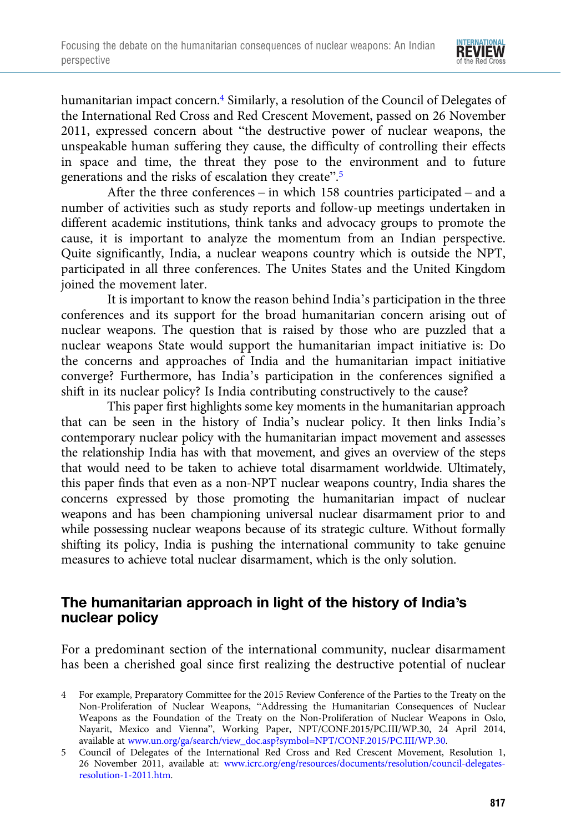

humanitarian impact concern.<sup>4</sup> Similarly, a resolution of the Council of Delegates of the International Red Cross and Red Crescent Movement, passed on 26 November 2011, expressed concern about "the destructive power of nuclear weapons, the unspeakable human suffering they cause, the difficulty of controlling their effects in space and time, the threat they pose to the environment and to future generations and the risks of escalation they create".<sup>5</sup>

After the three conferences – in which 158 countries participated – and a number of activities such as study reports and follow-up meetings undertaken in different academic institutions, think tanks and advocacy groups to promote the cause, it is important to analyze the momentum from an Indian perspective. Quite significantly, India, a nuclear weapons country which is outside the NPT, participated in all three conferences. The Unites States and the United Kingdom joined the movement later.

It is important to know the reason behind India's participation in the three conferences and its support for the broad humanitarian concern arising out of nuclear weapons. The question that is raised by those who are puzzled that a nuclear weapons State would support the humanitarian impact initiative is: Do the concerns and approaches of India and the humanitarian impact initiative converge? Furthermore, has India's participation in the conferences signified a shift in its nuclear policy? Is India contributing constructively to the cause?

This paper first highlights some key moments in the humanitarian approach that can be seen in the history of India's nuclear policy. It then links India's contemporary nuclear policy with the humanitarian impact movement and assesses the relationship India has with that movement, and gives an overview of the steps that would need to be taken to achieve total disarmament worldwide. Ultimately, this paper finds that even as a non-NPT nuclear weapons country, India shares the concerns expressed by those promoting the humanitarian impact of nuclear weapons and has been championing universal nuclear disarmament prior to and while possessing nuclear weapons because of its strategic culture. Without formally shifting its policy, India is pushing the international community to take genuine measures to achieve total nuclear disarmament, which is the only solution.

# The humanitarian approach in light of the history of India's nuclear policy

For a predominant section of the international community, nuclear disarmament has been a cherished goal since first realizing the destructive potential of nuclear

<sup>4</sup> For example, Preparatory Committee for the 2015 Review Conference of the Parties to the Treaty on the Non-Proliferation of Nuclear Weapons, "Addressing the Humanitarian Consequences of Nuclear Weapons as the Foundation of the Treaty on the Non-Proliferation of Nuclear Weapons in Oslo, Nayarit, Mexico and Vienna", Working Paper, NPT/CONF.2015/PC.III/WP.30, 24 April 2014, available at www.un.org/ga/search/view\_doc.asp?symbol=NPT/CONF.2015/PC.III/WP.30.

<sup>5</sup> Council of Delegates of the International Red Cross and Red Crescent Movement, Resolution 1, 26 November 2011, available at: www.icrc.org/eng/resources/documents/resolution/council-delegatesresolution-1-2011.htm.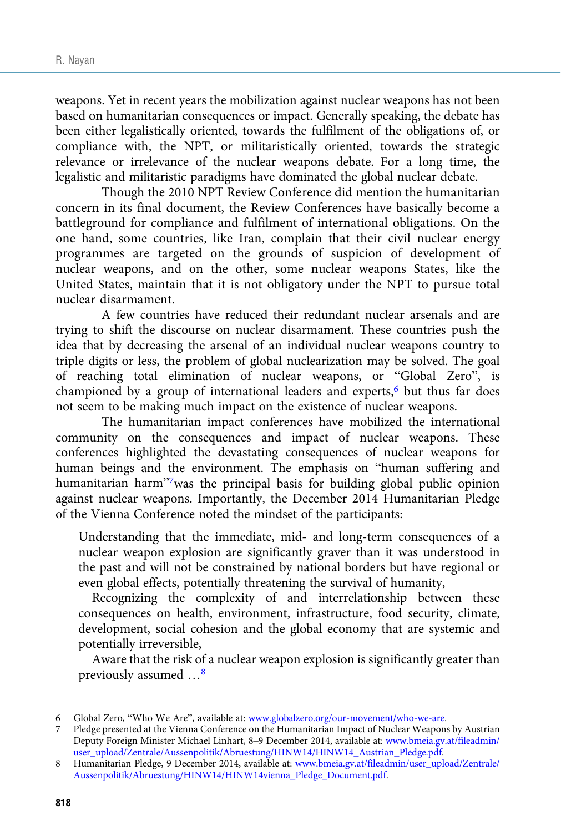weapons. Yet in recent years the mobilization against nuclear weapons has not been based on humanitarian consequences or impact. Generally speaking, the debate has been either legalistically oriented, towards the fulfilment of the obligations of, or compliance with, the NPT, or militaristically oriented, towards the strategic relevance or irrelevance of the nuclear weapons debate. For a long time, the legalistic and militaristic paradigms have dominated the global nuclear debate.

Though the 2010 NPT Review Conference did mention the humanitarian concern in its final document, the Review Conferences have basically become a battleground for compliance and fulfilment of international obligations. On the one hand, some countries, like Iran, complain that their civil nuclear energy programmes are targeted on the grounds of suspicion of development of nuclear weapons, and on the other, some nuclear weapons States, like the United States, maintain that it is not obligatory under the NPT to pursue total nuclear disarmament.

A few countries have reduced their redundant nuclear arsenals and are trying to shift the discourse on nuclear disarmament. These countries push the idea that by decreasing the arsenal of an individual nuclear weapons country to triple digits or less, the problem of global nuclearization may be solved. The goal of reaching total elimination of nuclear weapons, or "Global Zero", is championed by a group of international leaders and experts,<sup>6</sup> but thus far does not seem to be making much impact on the existence of nuclear weapons.

The humanitarian impact conferences have mobilized the international community on the consequences and impact of nuclear weapons. These conferences highlighted the devastating consequences of nuclear weapons for human beings and the environment. The emphasis on "human suffering and humanitarian harm"7was the principal basis for building global public opinion against nuclear weapons. Importantly, the December 2014 Humanitarian Pledge of the Vienna Conference noted the mindset of the participants:

Understanding that the immediate, mid- and long-term consequences of a nuclear weapon explosion are significantly graver than it was understood in the past and will not be constrained by national borders but have regional or even global effects, potentially threatening the survival of humanity,

Recognizing the complexity of and interrelationship between these consequences on health, environment, infrastructure, food security, climate, development, social cohesion and the global economy that are systemic and potentially irreversible,

Aware that the risk of a nuclear weapon explosion is significantly greater than previously assumed …<sup>8</sup>

<sup>6</sup> Global Zero, "Who We Are", available at: www.globalzero.org/our-movement/who-we-are.

<sup>7</sup> Pledge presented at the Vienna Conference on the Humanitarian Impact of Nuclear Weapons by Austrian Deputy Foreign Minister Michael Linhart, 8–9 December 2014, available at: www.bmeia.gv.at/fileadmin/ user\_upload/Zentrale/Aussenpolitik/Abruestung/HINW14/HINW14\_Austrian\_Pledge.pdf.

<sup>8</sup> Humanitarian Pledge, 9 December 2014, available at: www.bmeia.gv.at/fileadmin/user\_upload/Zentrale/ Aussenpolitik/Abruestung/HINW14/HINW14vienna\_Pledge\_Document.pdf.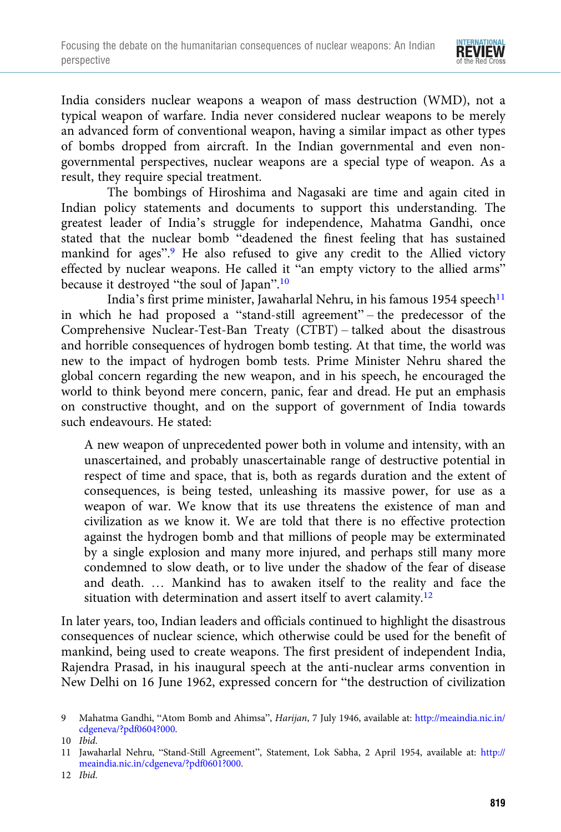

India considers nuclear weapons a weapon of mass destruction (WMD), not a typical weapon of warfare. India never considered nuclear weapons to be merely an advanced form of conventional weapon, having a similar impact as other types of bombs dropped from aircraft. In the Indian governmental and even nongovernmental perspectives, nuclear weapons are a special type of weapon. As a result, they require special treatment.

The bombings of Hiroshima and Nagasaki are time and again cited in Indian policy statements and documents to support this understanding. The greatest leader of India's struggle for independence, Mahatma Gandhi, once stated that the nuclear bomb "deadened the finest feeling that has sustained mankind for ages".<sup>9</sup> He also refused to give any credit to the Allied victory effected by nuclear weapons. He called it "an empty victory to the allied arms" because it destroyed "the soul of Japan".<sup>10</sup>

India's first prime minister, Jawaharlal Nehru, in his famous 1954 speech<sup>11</sup> in which he had proposed a "stand-still agreement" – the predecessor of the Comprehensive Nuclear-Test-Ban Treaty (CTBT) – talked about the disastrous and horrible consequences of hydrogen bomb testing. At that time, the world was new to the impact of hydrogen bomb tests. Prime Minister Nehru shared the global concern regarding the new weapon, and in his speech, he encouraged the world to think beyond mere concern, panic, fear and dread. He put an emphasis on constructive thought, and on the support of government of India towards such endeavours. He stated:

A new weapon of unprecedented power both in volume and intensity, with an unascertained, and probably unascertainable range of destructive potential in respect of time and space, that is, both as regards duration and the extent of consequences, is being tested, unleashing its massive power, for use as a weapon of war. We know that its use threatens the existence of man and civilization as we know it. We are told that there is no effective protection against the hydrogen bomb and that millions of people may be exterminated by a single explosion and many more injured, and perhaps still many more condemned to slow death, or to live under the shadow of the fear of disease and death. … Mankind has to awaken itself to the reality and face the situation with determination and assert itself to avert calamity.<sup>12</sup>

In later years, too, Indian leaders and officials continued to highlight the disastrous consequences of nuclear science, which otherwise could be used for the benefit of mankind, being used to create weapons. The first president of independent India, Rajendra Prasad, in his inaugural speech at the anti-nuclear arms convention in New Delhi on 16 June 1962, expressed concern for "the destruction of civilization

<sup>9</sup> Mahatma Gandhi, "Atom Bomb and Ahimsa", Harijan, 7 July 1946, available at: http://meaindia.nic.in/ cdgeneva/?pdf0604?000.

<sup>10</sup> Ibid.

<sup>11</sup> Jawaharlal Nehru, "Stand-Still Agreement", Statement, Lok Sabha, 2 April 1954, available at: http:// meaindia.nic.in/cdgeneva/?pdf0601?000.

<sup>12</sup> Ibid.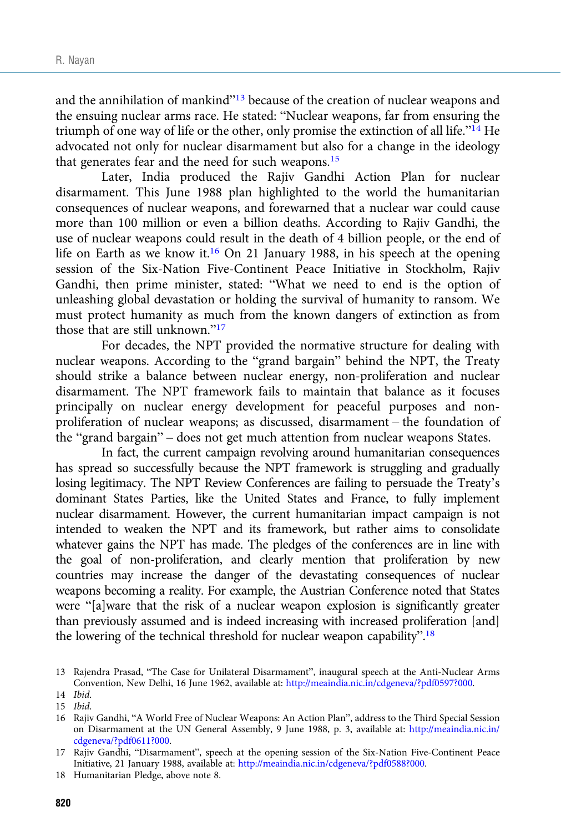and the annihilation of mankind"<sup>13</sup> because of the creation of nuclear weapons and the ensuing nuclear arms race. He stated: "Nuclear weapons, far from ensuring the triumph of one way of life or the other, only promise the extinction of all life." $14$  He advocated not only for nuclear disarmament but also for a change in the ideology that generates fear and the need for such weapons.15

Later, India produced the Rajiv Gandhi Action Plan for nuclear disarmament. This June 1988 plan highlighted to the world the humanitarian consequences of nuclear weapons, and forewarned that a nuclear war could cause more than 100 million or even a billion deaths. According to Rajiv Gandhi, the use of nuclear weapons could result in the death of 4 billion people, or the end of life on Earth as we know it.16 On 21 January 1988, in his speech at the opening session of the Six-Nation Five-Continent Peace Initiative in Stockholm, Rajiv Gandhi, then prime minister, stated: "What we need to end is the option of unleashing global devastation or holding the survival of humanity to ransom. We must protect humanity as much from the known dangers of extinction as from those that are still unknown."<sup>17</sup>

For decades, the NPT provided the normative structure for dealing with nuclear weapons. According to the "grand bargain" behind the NPT, the Treaty should strike a balance between nuclear energy, non-proliferation and nuclear disarmament. The NPT framework fails to maintain that balance as it focuses principally on nuclear energy development for peaceful purposes and nonproliferation of nuclear weapons; as discussed, disarmament – the foundation of the "grand bargain" – does not get much attention from nuclear weapons States.

In fact, the current campaign revolving around humanitarian consequences has spread so successfully because the NPT framework is struggling and gradually losing legitimacy. The NPT Review Conferences are failing to persuade the Treaty's dominant States Parties, like the United States and France, to fully implement nuclear disarmament. However, the current humanitarian impact campaign is not intended to weaken the NPT and its framework, but rather aims to consolidate whatever gains the NPT has made. The pledges of the conferences are in line with the goal of non-proliferation, and clearly mention that proliferation by new countries may increase the danger of the devastating consequences of nuclear weapons becoming a reality. For example, the Austrian Conference noted that States were "[a]ware that the risk of a nuclear weapon explosion is significantly greater than previously assumed and is indeed increasing with increased proliferation [and] the lowering of the technical threshold for nuclear weapon capability".<sup>18</sup>

<sup>13</sup> Rajendra Prasad, "The Case for Unilateral Disarmament", inaugural speech at the Anti-Nuclear Arms Convention, New Delhi, 16 June 1962, available at: http://meaindia.nic.in/cdgeneva/?pdf0597?000.

<sup>14</sup> Ibid. 15 Ibid.

<sup>16</sup> Rajiv Gandhi, "A World Free of Nuclear Weapons: An Action Plan", address to the Third Special Session on Disarmament at the UN General Assembly, 9 June 1988, p. 3, available at: http://meaindia.nic.in/ cdgeneva/?pdf0611?000.

<sup>17</sup> Rajiv Gandhi, "Disarmament", speech at the opening session of the Six-Nation Five-Continent Peace Initiative, 21 January 1988, available at: http://meaindia.nic.in/cdgeneva/?pdf0588?000.

<sup>18</sup> Humanitarian Pledge, above note 8.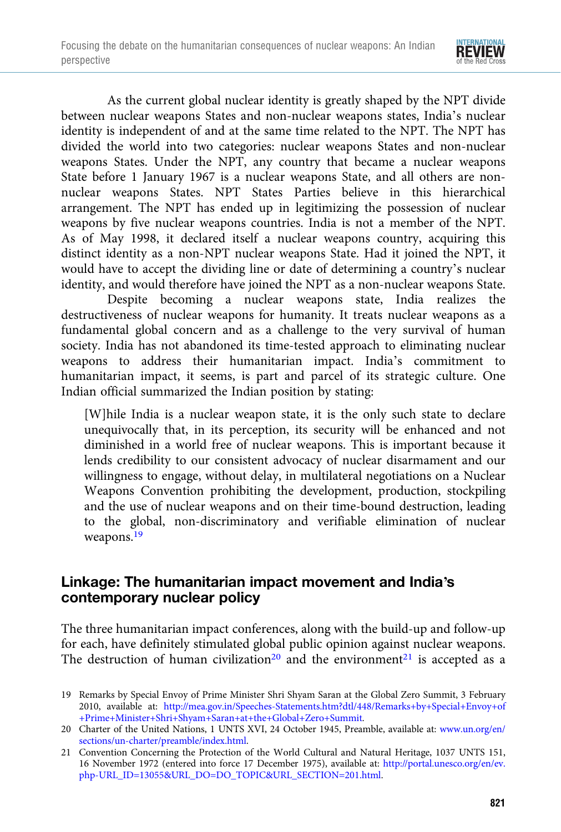

As the current global nuclear identity is greatly shaped by the NPT divide between nuclear weapons States and non-nuclear weapons states, India's nuclear identity is independent of and at the same time related to the NPT. The NPT has divided the world into two categories: nuclear weapons States and non-nuclear weapons States. Under the NPT, any country that became a nuclear weapons State before 1 January 1967 is a nuclear weapons State, and all others are nonnuclear weapons States. NPT States Parties believe in this hierarchical arrangement. The NPT has ended up in legitimizing the possession of nuclear weapons by five nuclear weapons countries. India is not a member of the NPT. As of May 1998, it declared itself a nuclear weapons country, acquiring this distinct identity as a non-NPT nuclear weapons State. Had it joined the NPT, it would have to accept the dividing line or date of determining a country's nuclear identity, and would therefore have joined the NPT as a non-nuclear weapons State.

Despite becoming a nuclear weapons state, India realizes the destructiveness of nuclear weapons for humanity. It treats nuclear weapons as a fundamental global concern and as a challenge to the very survival of human society. India has not abandoned its time-tested approach to eliminating nuclear weapons to address their humanitarian impact. India's commitment to humanitarian impact, it seems, is part and parcel of its strategic culture. One Indian official summarized the Indian position by stating:

[W]hile India is a nuclear weapon state, it is the only such state to declare unequivocally that, in its perception, its security will be enhanced and not diminished in a world free of nuclear weapons. This is important because it lends credibility to our consistent advocacy of nuclear disarmament and our willingness to engage, without delay, in multilateral negotiations on a Nuclear Weapons Convention prohibiting the development, production, stockpiling and the use of nuclear weapons and on their time-bound destruction, leading to the global, non-discriminatory and verifiable elimination of nuclear weapons.<sup>19</sup>

## Linkage: The humanitarian impact movement and India's contemporary nuclear policy

The three humanitarian impact conferences, along with the build-up and follow-up for each, have definitely stimulated global public opinion against nuclear weapons. The destruction of human civilization<sup>20</sup> and the environment<sup>21</sup> is accepted as a

<sup>19</sup> Remarks by Special Envoy of Prime Minister Shri Shyam Saran at the Global Zero Summit, 3 February 2010, available at: http://mea.gov.in/Speeches-Statements.htm?dtl/448/Remarks+by+Special+Envoy+of +Prime+Minister+Shri+Shyam+Saran+at+the+Global+Zero+Summit.

<sup>20</sup> Charter of the United Nations, 1 UNTS XVI, 24 October 1945, Preamble, available at: www.un.org/en/ sections/un-charter/preamble/index.html.

<sup>21</sup> Convention Concerning the Protection of the World Cultural and Natural Heritage, 1037 UNTS 151, 16 November 1972 (entered into force 17 December 1975), available at: http://portal.unesco.org/en/ev. php-URL\_ID=13055&URL\_DO=DO\_TOPIC&URL\_SECTION=201.html.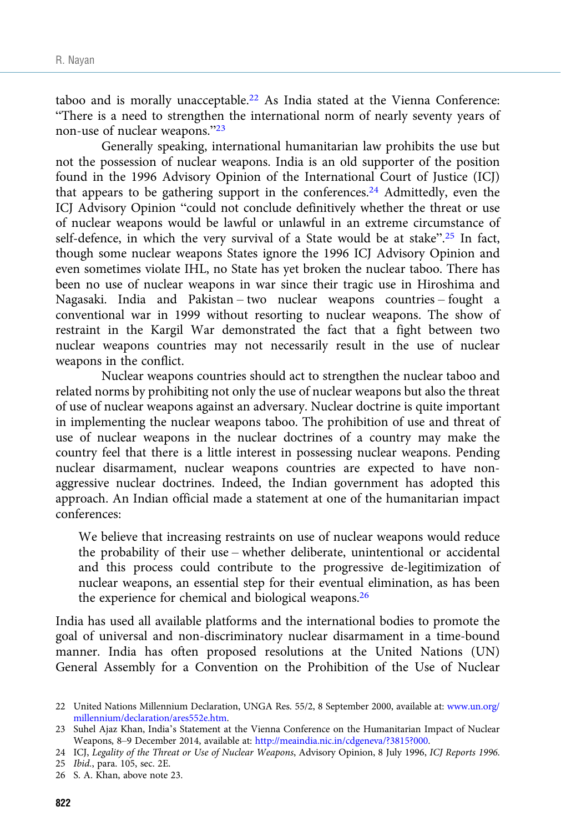taboo and is morally unacceptable.<sup>22</sup> As India stated at the Vienna Conference: "There is a need to strengthen the international norm of nearly seventy years of non-use of nuclear weapons."<sup>23</sup>

Generally speaking, international humanitarian law prohibits the use but not the possession of nuclear weapons. India is an old supporter of the position found in the 1996 Advisory Opinion of the International Court of Justice (ICJ) that appears to be gathering support in the conferences.24 Admittedly, even the ICJ Advisory Opinion "could not conclude definitively whether the threat or use of nuclear weapons would be lawful or unlawful in an extreme circumstance of self-defence, in which the very survival of a State would be at stake".<sup>25</sup> In fact, though some nuclear weapons States ignore the 1996 ICJ Advisory Opinion and even sometimes violate IHL, no State has yet broken the nuclear taboo. There has been no use of nuclear weapons in war since their tragic use in Hiroshima and Nagasaki. India and Pakistan – two nuclear weapons countries – fought a conventional war in 1999 without resorting to nuclear weapons. The show of restraint in the Kargil War demonstrated the fact that a fight between two nuclear weapons countries may not necessarily result in the use of nuclear weapons in the conflict.

Nuclear weapons countries should act to strengthen the nuclear taboo and related norms by prohibiting not only the use of nuclear weapons but also the threat of use of nuclear weapons against an adversary. Nuclear doctrine is quite important in implementing the nuclear weapons taboo. The prohibition of use and threat of use of nuclear weapons in the nuclear doctrines of a country may make the country feel that there is a little interest in possessing nuclear weapons. Pending nuclear disarmament, nuclear weapons countries are expected to have nonaggressive nuclear doctrines. Indeed, the Indian government has adopted this approach. An Indian official made a statement at one of the humanitarian impact conferences:

We believe that increasing restraints on use of nuclear weapons would reduce the probability of their use – whether deliberate, unintentional or accidental and this process could contribute to the progressive de-legitimization of nuclear weapons, an essential step for their eventual elimination, as has been the experience for chemical and biological weapons.26

India has used all available platforms and the international bodies to promote the goal of universal and non-discriminatory nuclear disarmament in a time-bound manner. India has often proposed resolutions at the United Nations (UN) General Assembly for a Convention on the Prohibition of the Use of Nuclear

<sup>22</sup> United Nations Millennium Declaration, UNGA Res. 55/2, 8 September 2000, available at: www.un.org/ millennium/declaration/ares552e.htm.

<sup>23</sup> Suhel Ajaz Khan, India's Statement at the Vienna Conference on the Humanitarian Impact of Nuclear Weapons, 8–9 December 2014, available at: http://meaindia.nic.in/cdgeneva/?3815?000.

<sup>24</sup> ICJ, Legality of the Threat or Use of Nuclear Weapons, Advisory Opinion, 8 July 1996, ICJ Reports 1996.

<sup>25</sup> Ibid., para. 105, sec. 2E.

<sup>26</sup> S. A. Khan, above note 23.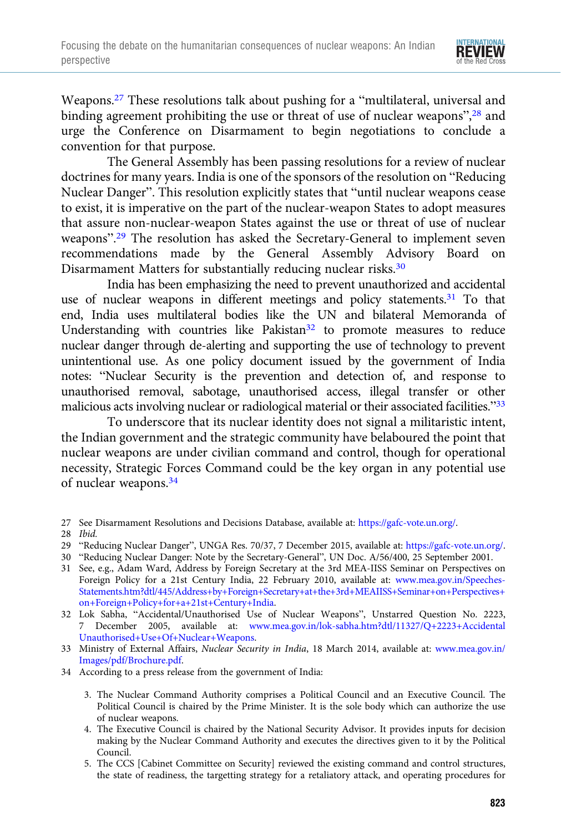

Weapons.27 These resolutions talk about pushing for a "multilateral, universal and binding agreement prohibiting the use or threat of use of nuclear weapons",<sup>28</sup> and urge the Conference on Disarmament to begin negotiations to conclude a convention for that purpose.

The General Assembly has been passing resolutions for a review of nuclear doctrines for many years. India is one of the sponsors of the resolution on "Reducing Nuclear Danger". This resolution explicitly states that "until nuclear weapons cease to exist, it is imperative on the part of the nuclear-weapon States to adopt measures that assure non-nuclear-weapon States against the use or threat of use of nuclear weapons".<sup>29</sup> The resolution has asked the Secretary-General to implement seven recommendations made by the General Assembly Advisory Board on Disarmament Matters for substantially reducing nuclear risks.<sup>30</sup>

India has been emphasizing the need to prevent unauthorized and accidental use of nuclear weapons in different meetings and policy statements.<sup>31</sup> To that end, India uses multilateral bodies like the UN and bilateral Memoranda of Understanding with countries like Pakistan<sup>32</sup> to promote measures to reduce nuclear danger through de-alerting and supporting the use of technology to prevent unintentional use. As one policy document issued by the government of India notes: "Nuclear Security is the prevention and detection of, and response to unauthorised removal, sabotage, unauthorised access, illegal transfer or other malicious acts involving nuclear or radiological material or their associated facilities."33

To underscore that its nuclear identity does not signal a militaristic intent, the Indian government and the strategic community have belaboured the point that nuclear weapons are under civilian command and control, though for operational necessity, Strategic Forces Command could be the key organ in any potential use of nuclear weapons.34

<sup>27</sup> See Disarmament Resolutions and Decisions Database, available at: https://gafc-vote.un.org/.

<sup>28</sup> Ibid.

<sup>29</sup> "Reducing Nuclear Danger", UNGA Res. 70/37, 7 December 2015, available at: https://gafc-vote.un.org/.

<sup>30</sup> "Reducing Nuclear Danger: Note by the Secretary-General", UN Doc. A/56/400, 25 September 2001.

<sup>31</sup> See, e.g., Adam Ward, Address by Foreign Secretary at the 3rd MEA-IISS Seminar on Perspectives on Foreign Policy for a 21st Century India, 22 February 2010, available at: www.mea.gov.in/Speeches-Statements.htm?dtl/445/Address+by+Foreign+Secretary+at+the+3rd+MEAIISS+Seminar+on+Perspectives+ on+Foreign+Policy+for+a+21st+Century+India.

<sup>32</sup> Lok Sabha, "Accidental/Unauthorised Use of Nuclear Weapons", Unstarred Question No. 2223, 7 December 2005, available at: www.mea.gov.in/lok-sabha.htm?dtl/11327/Q+2223+Accidental Unauthorised+Use+Of+Nuclear+Weapons.

<sup>33</sup> Ministry of External Affairs, Nuclear Security in India, 18 March 2014, available at: www.mea.gov.in/ Images/pdf/Brochure.pdf.

<sup>34</sup> According to a press release from the government of India:

<sup>3.</sup> The Nuclear Command Authority comprises a Political Council and an Executive Council. The Political Council is chaired by the Prime Minister. It is the sole body which can authorize the use of nuclear weapons.

<sup>4.</sup> The Executive Council is chaired by the National Security Advisor. It provides inputs for decision making by the Nuclear Command Authority and executes the directives given to it by the Political Council.

<sup>5.</sup> The CCS [Cabinet Committee on Security] reviewed the existing command and control structures, the state of readiness, the targetting strategy for a retaliatory attack, and operating procedures for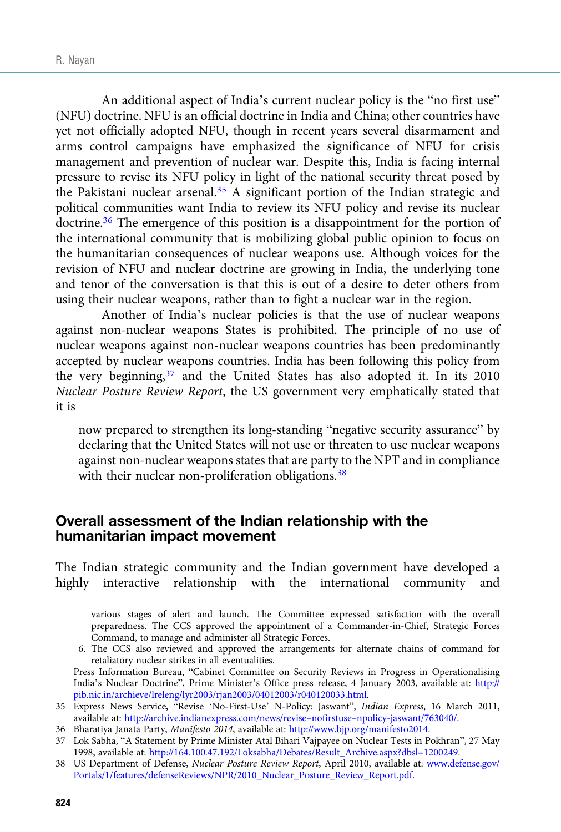An additional aspect of India's current nuclear policy is the "no first use" (NFU) doctrine. NFU is an official doctrine in India and China; other countries have yet not officially adopted NFU, though in recent years several disarmament and arms control campaigns have emphasized the significance of NFU for crisis management and prevention of nuclear war. Despite this, India is facing internal pressure to revise its NFU policy in light of the national security threat posed by the Pakistani nuclear arsenal.35 A significant portion of the Indian strategic and political communities want India to review its NFU policy and revise its nuclear doctrine.36 The emergence of this position is a disappointment for the portion of the international community that is mobilizing global public opinion to focus on the humanitarian consequences of nuclear weapons use. Although voices for the revision of NFU and nuclear doctrine are growing in India, the underlying tone and tenor of the conversation is that this is out of a desire to deter others from using their nuclear weapons, rather than to fight a nuclear war in the region.

Another of India's nuclear policies is that the use of nuclear weapons against non-nuclear weapons States is prohibited. The principle of no use of nuclear weapons against non-nuclear weapons countries has been predominantly accepted by nuclear weapons countries. India has been following this policy from the very beginning,<sup>37</sup> and the United States has also adopted it. In its 2010 Nuclear Posture Review Report, the US government very emphatically stated that it is

now prepared to strengthen its long-standing "negative security assurance" by declaring that the United States will not use or threaten to use nuclear weapons against non-nuclear weapons states that are party to the NPT and in compliance with their nuclear non-proliferation obligations.<sup>38</sup>

#### Overall assessment of the Indian relationship with the humanitarian impact movement

The Indian strategic community and the Indian government have developed a highly interactive relationship with the international community and

various stages of alert and launch. The Committee expressed satisfaction with the overall preparedness. The CCS approved the appointment of a Commander-in-Chief, Strategic Forces Command, to manage and administer all Strategic Forces.

6. The CCS also reviewed and approved the arrangements for alternate chains of command for retaliatory nuclear strikes in all eventualities.

Press Information Bureau, "Cabinet Committee on Security Reviews in Progress in Operationalising India's Nuclear Doctrine", Prime Minister's Office press release, 4 January 2003, available at: http:// pib.nic.in/archieve/lreleng/lyr2003/rjan2003/04012003/r040120033.html.

- 35 Express News Service, "Revise 'No-First-Use' N-Policy: Jaswant", Indian Express, 16 March 2011, available at: http://archive.indianexpress.com/news/revise–nofirstuse–npolicy-jaswant/763040/.
- 36 Bharatiya Janata Party, Manifesto 2014, available at: http://www.bjp.org/manifesto2014.

37 Lok Sabha, "A Statement by Prime Minister Atal Bihari Vajpayee on Nuclear Tests in Pokhran", 27 May 1998, available at: http://164.100.47.192/Loksabha/Debates/Result\_Archive.aspx?dbsl=1200249.

38 US Department of Defense, Nuclear Posture Review Report, April 2010, available at: www.defense.gov/ Portals/1/features/defenseReviews/NPR/2010\_Nuclear\_Posture\_Review\_Report.pdf.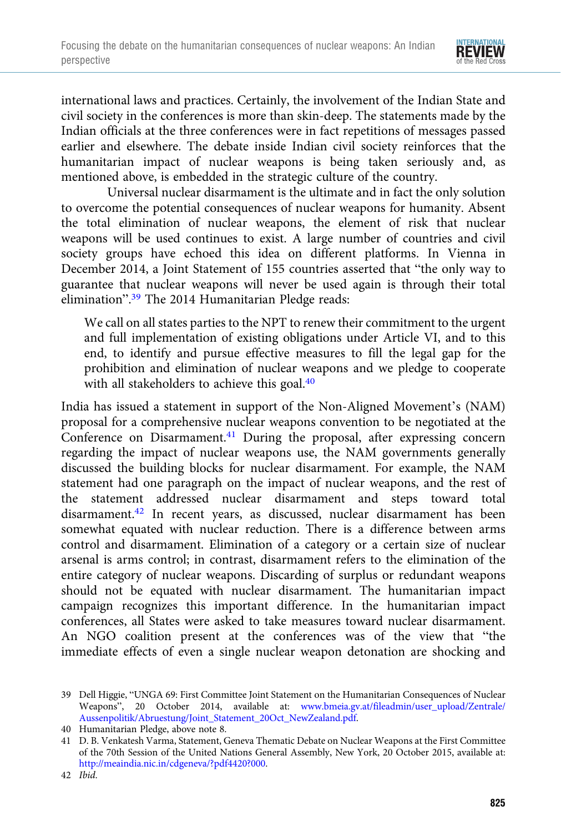

international laws and practices. Certainly, the involvement of the Indian State and civil society in the conferences is more than skin-deep. The statements made by the Indian officials at the three conferences were in fact repetitions of messages passed earlier and elsewhere. The debate inside Indian civil society reinforces that the humanitarian impact of nuclear weapons is being taken seriously and, as mentioned above, is embedded in the strategic culture of the country.

Universal nuclear disarmament is the ultimate and in fact the only solution to overcome the potential consequences of nuclear weapons for humanity. Absent the total elimination of nuclear weapons, the element of risk that nuclear weapons will be used continues to exist. A large number of countries and civil society groups have echoed this idea on different platforms. In Vienna in December 2014, a Joint Statement of 155 countries asserted that "the only way to guarantee that nuclear weapons will never be used again is through their total elimination".<sup>39</sup> The 2014 Humanitarian Pledge reads:

We call on all states parties to the NPT to renew their commitment to the urgent and full implementation of existing obligations under Article VI, and to this end, to identify and pursue effective measures to fill the legal gap for the prohibition and elimination of nuclear weapons and we pledge to cooperate with all stakeholders to achieve this goal.<sup>40</sup>

India has issued a statement in support of the Non-Aligned Movement's (NAM) proposal for a comprehensive nuclear weapons convention to be negotiated at the Conference on Disarmament.<sup>41</sup> During the proposal, after expressing concern regarding the impact of nuclear weapons use, the NAM governments generally discussed the building blocks for nuclear disarmament. For example, the NAM statement had one paragraph on the impact of nuclear weapons, and the rest of the statement addressed nuclear disarmament and steps toward total disarmament.42 In recent years, as discussed, nuclear disarmament has been somewhat equated with nuclear reduction. There is a difference between arms control and disarmament. Elimination of a category or a certain size of nuclear arsenal is arms control; in contrast, disarmament refers to the elimination of the entire category of nuclear weapons. Discarding of surplus or redundant weapons should not be equated with nuclear disarmament. The humanitarian impact campaign recognizes this important difference. In the humanitarian impact conferences, all States were asked to take measures toward nuclear disarmament. An NGO coalition present at the conferences was of the view that "the immediate effects of even a single nuclear weapon detonation are shocking and

<sup>39</sup> Dell Higgie, "UNGA 69: First Committee Joint Statement on the Humanitarian Consequences of Nuclear Weapons", 20 October 2014, available at: www.bmeia.gv.at/fileadmin/user\_upload/Zentrale/ Aussenpolitik/Abruestung/Joint\_Statement\_20Oct\_NewZealand.pdf.

<sup>40</sup> Humanitarian Pledge, above note 8.

<sup>41</sup> D. B. Venkatesh Varma, Statement, Geneva Thematic Debate on Nuclear Weapons at the First Committee of the 70th Session of the United Nations General Assembly, New York, 20 October 2015, available at: http://meaindia.nic.in/cdgeneva/?pdf4420?000.

<sup>42</sup> Ibid.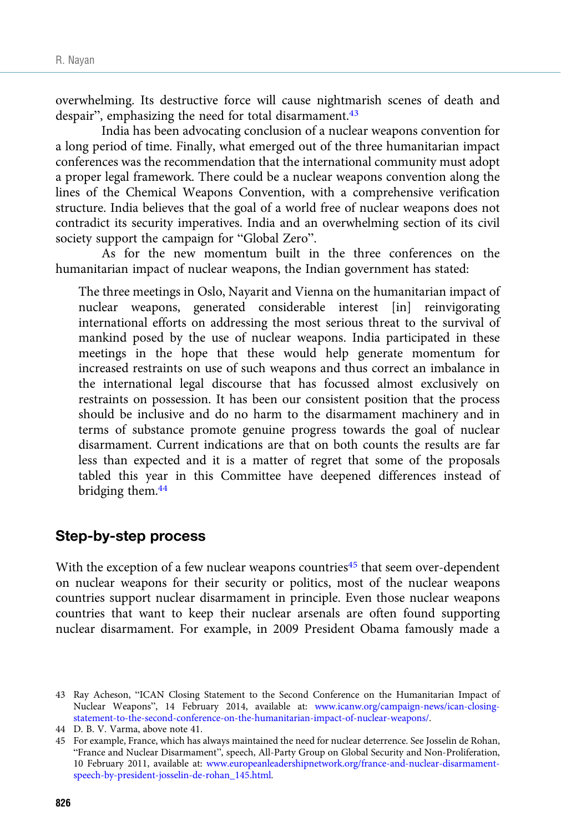overwhelming. Its destructive force will cause nightmarish scenes of death and despair", emphasizing the need for total disarmament.<sup>43</sup>

India has been advocating conclusion of a nuclear weapons convention for a long period of time. Finally, what emerged out of the three humanitarian impact conferences was the recommendation that the international community must adopt a proper legal framework. There could be a nuclear weapons convention along the lines of the Chemical Weapons Convention, with a comprehensive verification structure. India believes that the goal of a world free of nuclear weapons does not contradict its security imperatives. India and an overwhelming section of its civil society support the campaign for "Global Zero".

As for the new momentum built in the three conferences on the humanitarian impact of nuclear weapons, the Indian government has stated:

The three meetings in Oslo, Nayarit and Vienna on the humanitarian impact of nuclear weapons, generated considerable interest [in] reinvigorating international efforts on addressing the most serious threat to the survival of mankind posed by the use of nuclear weapons. India participated in these meetings in the hope that these would help generate momentum for increased restraints on use of such weapons and thus correct an imbalance in the international legal discourse that has focussed almost exclusively on restraints on possession. It has been our consistent position that the process should be inclusive and do no harm to the disarmament machinery and in terms of substance promote genuine progress towards the goal of nuclear disarmament. Current indications are that on both counts the results are far less than expected and it is a matter of regret that some of the proposals tabled this year in this Committee have deepened differences instead of bridging them.44

#### Step-by-step process

With the exception of a few nuclear weapons countries<sup>45</sup> that seem over-dependent on nuclear weapons for their security or politics, most of the nuclear weapons countries support nuclear disarmament in principle. Even those nuclear weapons countries that want to keep their nuclear arsenals are often found supporting nuclear disarmament. For example, in 2009 President Obama famously made a

<sup>43</sup> Ray Acheson, "ICAN Closing Statement to the Second Conference on the Humanitarian Impact of Nuclear Weapons", 14 February 2014, available at: www.icanw.org/campaign-news/ican-closingstatement-to-the-second-conference-on-the-humanitarian-impact-of-nuclear-weapons/.

<sup>44</sup> D. B. V. Varma, above note 41.

<sup>45</sup> For example, France, which has always maintained the need for nuclear deterrence. See Josselin de Rohan, "France and Nuclear Disarmament", speech, All-Party Group on Global Security and Non-Proliferation, 10 February 2011, available at: www.europeanleadershipnetwork.org/france-and-nuclear-disarmamentspeech-by-president-josselin-de-rohan\_145.html.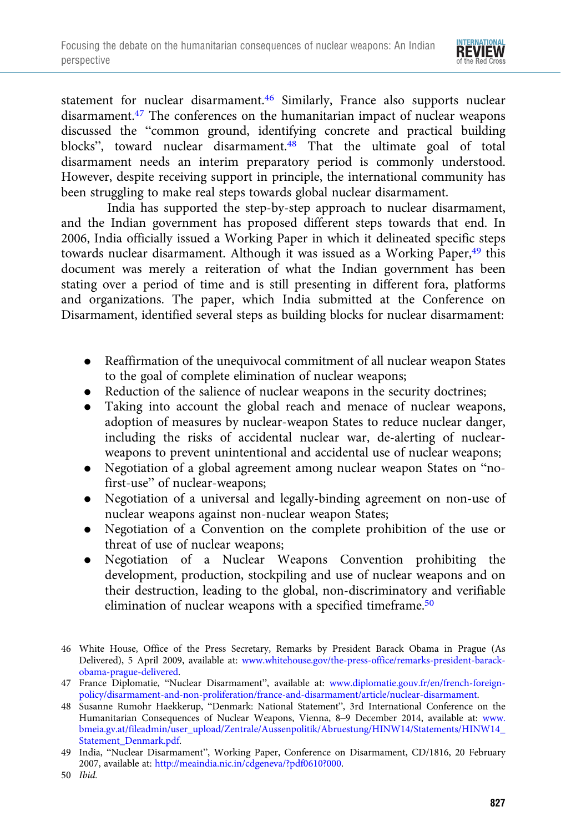

statement for nuclear disarmament.<sup>46</sup> Similarly, France also supports nuclear disarmament.<sup>47</sup> The conferences on the humanitarian impact of nuclear weapons discussed the "common ground, identifying concrete and practical building blocks", toward nuclear disarmament.<sup>48</sup> That the ultimate goal of total disarmament needs an interim preparatory period is commonly understood. However, despite receiving support in principle, the international community has been struggling to make real steps towards global nuclear disarmament.

India has supported the step-by-step approach to nuclear disarmament, and the Indian government has proposed different steps towards that end. In 2006, India officially issued a Working Paper in which it delineated specific steps towards nuclear disarmament. Although it was issued as a Working Paper,<sup>49</sup> this document was merely a reiteration of what the Indian government has been stating over a period of time and is still presenting in different fora, platforms and organizations. The paper, which India submitted at the Conference on Disarmament, identified several steps as building blocks for nuclear disarmament:

- . Reaffirmation of the unequivocal commitment of all nuclear weapon States to the goal of complete elimination of nuclear weapons;
- . Reduction of the salience of nuclear weapons in the security doctrines;
- . Taking into account the global reach and menace of nuclear weapons, adoption of measures by nuclear-weapon States to reduce nuclear danger, including the risks of accidental nuclear war, de-alerting of nuclearweapons to prevent unintentional and accidental use of nuclear weapons;
- . Negotiation of a global agreement among nuclear weapon States on "nofirst-use" of nuclear-weapons;
- . Negotiation of a universal and legally-binding agreement on non-use of nuclear weapons against non-nuclear weapon States;
- . Negotiation of a Convention on the complete prohibition of the use or threat of use of nuclear weapons;
- . Negotiation of a Nuclear Weapons Convention prohibiting the development, production, stockpiling and use of nuclear weapons and on their destruction, leading to the global, non-discriminatory and verifiable elimination of nuclear weapons with a specified timeframe.<sup>50</sup>
- 46 White House, Office of the Press Secretary, Remarks by President Barack Obama in Prague (As Delivered), 5 April 2009, available at: www.whitehouse.gov/the-press-office/remarks-president-barackobama-prague-delivered.
- 47 France Diplomatie, "Nuclear Disarmament", available at: www.diplomatie.gouv.fr/en/french-foreignpolicy/disarmament-and-non-proliferation/france-and-disarmament/article/nuclear-disarmament.

48 Susanne Rumohr Haekkerup, "Denmark: National Statement", 3rd International Conference on the Humanitarian Consequences of Nuclear Weapons, Vienna, 8–9 December 2014, available at: www. bmeia.gv.at/fileadmin/user\_upload/Zentrale/Aussenpolitik/Abruestung/HINW14/Statements/HINW14\_ Statement\_Denmark.pdf.

<sup>49</sup> India, "Nuclear Disarmament", Working Paper, Conference on Disarmament, CD/1816, 20 February 2007, available at: http://meaindia.nic.in/cdgeneva/?pdf0610?000.

<sup>50</sup> Ibid.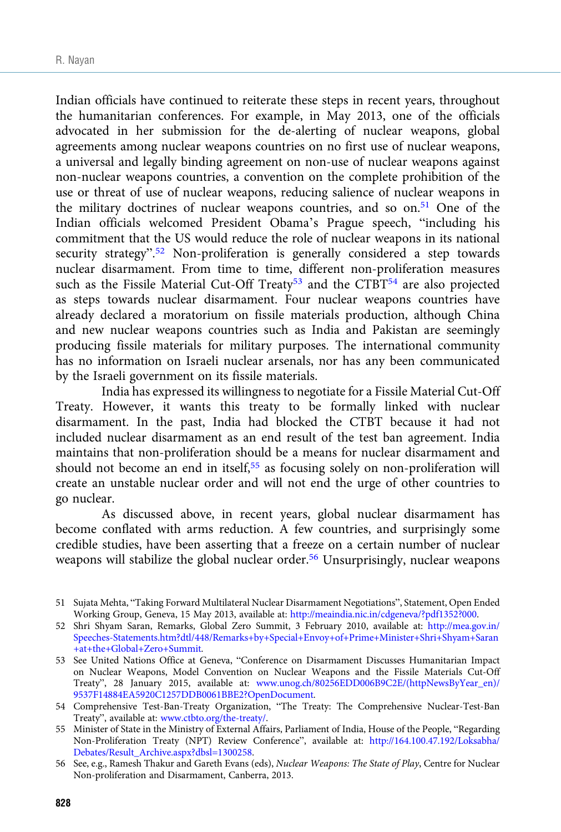Indian officials have continued to reiterate these steps in recent years, throughout the humanitarian conferences. For example, in May 2013, one of the officials advocated in her submission for the de-alerting of nuclear weapons, global agreements among nuclear weapons countries on no first use of nuclear weapons, a universal and legally binding agreement on non-use of nuclear weapons against non-nuclear weapons countries, a convention on the complete prohibition of the use or threat of use of nuclear weapons, reducing salience of nuclear weapons in the military doctrines of nuclear weapons countries, and so on.<sup>51</sup> One of the Indian officials welcomed President Obama's Prague speech, "including his commitment that the US would reduce the role of nuclear weapons in its national security strategy".<sup>52</sup> Non-proliferation is generally considered a step towards nuclear disarmament. From time to time, different non-proliferation measures such as the Fissile Material Cut-Off Treaty<sup>53</sup> and the CTBT<sup>54</sup> are also projected as steps towards nuclear disarmament. Four nuclear weapons countries have already declared a moratorium on fissile materials production, although China and new nuclear weapons countries such as India and Pakistan are seemingly producing fissile materials for military purposes. The international community has no information on Israeli nuclear arsenals, nor has any been communicated by the Israeli government on its fissile materials.

India has expressed its willingness to negotiate for a Fissile Material Cut-Off Treaty. However, it wants this treaty to be formally linked with nuclear disarmament. In the past, India had blocked the CTBT because it had not included nuclear disarmament as an end result of the test ban agreement. India maintains that non-proliferation should be a means for nuclear disarmament and should not become an end in itself,<sup>55</sup> as focusing solely on non-proliferation will create an unstable nuclear order and will not end the urge of other countries to go nuclear.

As discussed above, in recent years, global nuclear disarmament has become conflated with arms reduction. A few countries, and surprisingly some credible studies, have been asserting that a freeze on a certain number of nuclear weapons will stabilize the global nuclear order.<sup>56</sup> Unsurprisingly, nuclear weapons

<sup>51</sup> Sujata Mehta, "Taking Forward Multilateral Nuclear Disarmament Negotiations", Statement, Open Ended Working Group, Geneva, 15 May 2013, available at: http://meaindia.nic.in/cdgeneva/?pdf1352?000.

<sup>52</sup> Shri Shyam Saran, Remarks, Global Zero Summit, 3 February 2010, available at: http://mea.gov.in/ Speeches-Statements.htm?dtl/448/Remarks+by+Special+Envoy+of+Prime+Minister+Shri+Shyam+Saran +at+the+Global+Zero+Summit.

<sup>53</sup> See United Nations Office at Geneva, "Conference on Disarmament Discusses Humanitarian Impact on Nuclear Weapons, Model Convention on Nuclear Weapons and the Fissile Materials Cut-Off Treaty", 28 January 2015, available at: www.unog.ch/80256EDD006B9C2E/(httpNewsByYear\_en)/ 9537F14884EA5920C1257DDB0061BBE2?OpenDocument.

<sup>54</sup> Comprehensive Test-Ban-Treaty Organization, "The Treaty: The Comprehensive Nuclear-Test-Ban Treaty", available at: www.ctbto.org/the-treaty/.

<sup>55</sup> Minister of State in the Ministry of External Affairs, Parliament of India, House of the People, "Regarding Non-Proliferation Treaty (NPT) Review Conference", available at: http://164.100.47.192/Loksabha/ Debates/Result\_Archive.aspx?dbsl=1300258.

<sup>56</sup> See, e.g., Ramesh Thakur and Gareth Evans (eds), Nuclear Weapons: The State of Play, Centre for Nuclear Non-proliferation and Disarmament, Canberra, 2013.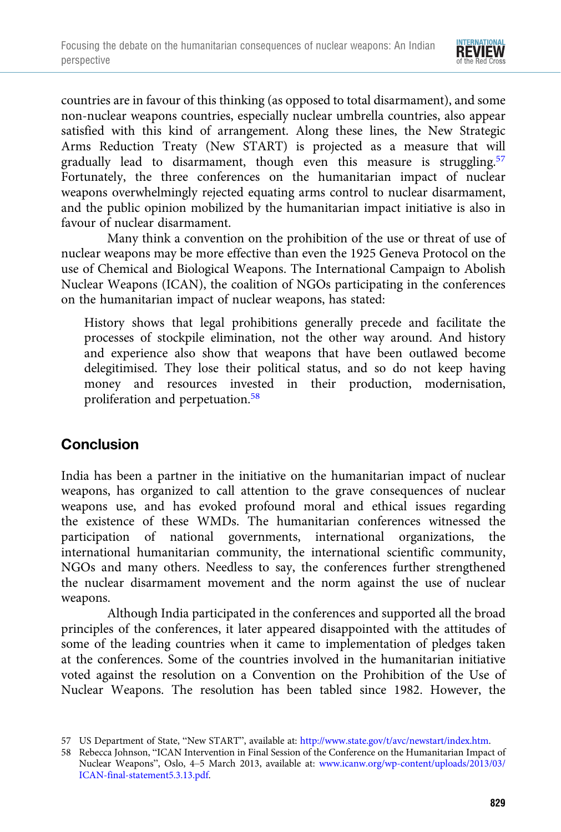

countries are in favour of this thinking (as opposed to total disarmament), and some non-nuclear weapons countries, especially nuclear umbrella countries, also appear satisfied with this kind of arrangement. Along these lines, the New Strategic Arms Reduction Treaty (New START) is projected as a measure that will gradually lead to disarmament, though even this measure is struggling.<sup>57</sup> Fortunately, the three conferences on the humanitarian impact of nuclear weapons overwhelmingly rejected equating arms control to nuclear disarmament, and the public opinion mobilized by the humanitarian impact initiative is also in favour of nuclear disarmament.

Many think a convention on the prohibition of the use or threat of use of nuclear weapons may be more effective than even the 1925 Geneva Protocol on the use of Chemical and Biological Weapons. The International Campaign to Abolish Nuclear Weapons (ICAN), the coalition of NGOs participating in the conferences on the humanitarian impact of nuclear weapons, has stated:

History shows that legal prohibitions generally precede and facilitate the processes of stockpile elimination, not the other way around. And history and experience also show that weapons that have been outlawed become delegitimised. They lose their political status, and so do not keep having money and resources invested in their production, modernisation, proliferation and perpetuation.58

# **Conclusion**

India has been a partner in the initiative on the humanitarian impact of nuclear weapons, has organized to call attention to the grave consequences of nuclear weapons use, and has evoked profound moral and ethical issues regarding the existence of these WMDs. The humanitarian conferences witnessed the participation of national governments, international organizations, the international humanitarian community, the international scientific community, NGOs and many others. Needless to say, the conferences further strengthened the nuclear disarmament movement and the norm against the use of nuclear weapons.

Although India participated in the conferences and supported all the broad principles of the conferences, it later appeared disappointed with the attitudes of some of the leading countries when it came to implementation of pledges taken at the conferences. Some of the countries involved in the humanitarian initiative voted against the resolution on a Convention on the Prohibition of the Use of Nuclear Weapons. The resolution has been tabled since 1982. However, the

<sup>57</sup> US Department of State, "New START", available at: http://www.state.gov/t/avc/newstart/index.htm.

<sup>58</sup> Rebecca Johnson, "ICAN Intervention in Final Session of the Conference on the Humanitarian Impact of Nuclear Weapons", Oslo, 4–5 March 2013, available at: www.icanw.org/wp-content/uploads/2013/03/ ICAN-final-statement5.3.13.pdf.